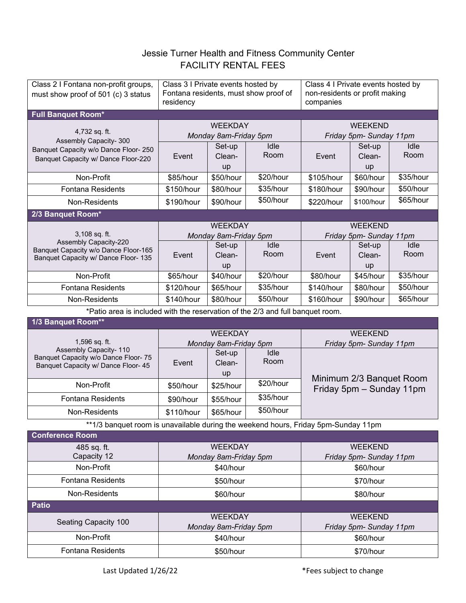## Jessie Turner Health and Fitness Community Center FACILITY RENTAL FEES

| Class 2 I Fontana non-profit groups,<br>must show proof of 501 (c) 3 status                                                   | Class 3 I Private events hosted by<br>Fontana residents, must show proof of<br>residency |                        |              | Class 4 I Private events hosted by<br>non-residents or profit making<br>companies |                        |              |
|-------------------------------------------------------------------------------------------------------------------------------|------------------------------------------------------------------------------------------|------------------------|--------------|-----------------------------------------------------------------------------------|------------------------|--------------|
| <b>Full Banquet Room*</b>                                                                                                     |                                                                                          |                        |              |                                                                                   |                        |              |
| 4,732 sq. ft.<br>Assembly Capacity- 300<br>Banquet Capacity w/o Dance Floor- 250<br>Banquet Capacity w/ Dance Floor-220       | <b>WEEKDAY</b><br>Monday 8am-Friday 5pm                                                  |                        |              | <b>WEEKEND</b><br>Friday 5pm- Sunday 11pm                                         |                        |              |
|                                                                                                                               | Event                                                                                    | Set-up<br>Clean-<br>up | Idle<br>Room | Event                                                                             | Set-up<br>Clean-<br>up | Idle<br>Room |
| Non-Profit                                                                                                                    | \$85/hour                                                                                | \$50/hour              | \$20/hour    | \$105/hour                                                                        | \$60/hour              | \$35/hour    |
| <b>Fontana Residents</b>                                                                                                      | \$150/hour                                                                               | \$80/hour              | \$35/hour    | \$180/hour                                                                        | \$90/hour              | \$50/hour    |
| Non-Residents                                                                                                                 | \$190/hour                                                                               | \$90/hour              | \$50/hour    | \$220/hour                                                                        | \$100/hour             | \$65/hour    |
| 2/3 Banquet Room*                                                                                                             |                                                                                          |                        |              |                                                                                   |                        |              |
| 3,108 sq. ft.<br><b>Assembly Capacity-220</b><br>Banquet Capacity w/o Dance Floor-165<br>Banquet Capacity w/ Dance Floor- 135 | <b>WEEKDAY</b><br>Monday 8am-Friday 5pm                                                  |                        |              | <b>WEEKEND</b><br>Friday 5pm- Sunday 11pm                                         |                        |              |
|                                                                                                                               | Event                                                                                    | Set-up<br>Clean-<br>up | Idle<br>Room | Event                                                                             | Set-up<br>Clean-<br>up | Idle<br>Room |
| Non-Profit                                                                                                                    | \$65/hour                                                                                | \$40/hour              | \$20/hour    | \$80/hour                                                                         | \$45/hour              | \$35/hour    |
| <b>Fontana Residents</b>                                                                                                      | \$120/hour                                                                               | \$65/hour              | \$35/hour    | \$140/hour                                                                        | \$80/hour              | \$50/hour    |
| Non-Residents                                                                                                                 | \$140/hour                                                                               | \$80/hour              | \$50/hour    | \$160/hour                                                                        | \$90/hour              | \$65/hour    |
| *Patio area is included with the reservation of the 2/3 and full banquet room.                                                |                                                                                          |                        |              |                                                                                   |                        |              |
| 1/3 Banquet Room**                                                                                                            |                                                                                          |                        |              |                                                                                   |                        |              |
| 1,596 sq. ft.<br>Assembly Capacity- 110<br>Banquet Capacity w/o Dance Floor- 75<br>Banquet Capacity w/ Dance Floor- 45        | <b>WEEKDAY</b>                                                                           |                        |              | <b>WEEKEND</b>                                                                    |                        |              |
|                                                                                                                               | Monday 8am-Friday 5pm                                                                    |                        |              | Friday 5pm- Sunday 11pm                                                           |                        |              |
|                                                                                                                               | Event                                                                                    | Set-up<br>Clean-<br>up | Idle<br>Room |                                                                                   |                        |              |
| Non-Profit                                                                                                                    | \$50/hour                                                                                | \$25/hour              | \$20/hour    | Minimum 2/3 Banquet Room<br>Friday 5pm - Sunday 11pm                              |                        |              |
| <b>Fontana Residents</b>                                                                                                      | \$90/hour                                                                                | \$55/hour              | \$35/hour    |                                                                                   |                        |              |
| Non-Residents                                                                                                                 | \$110/hour                                                                               | \$65/hour              | \$50/hour    |                                                                                   |                        |              |
| **1/3 banquet room is unavailable during the weekend hours, Friday 5pm-Sunday 11pm                                            |                                                                                          |                        |              |                                                                                   |                        |              |
| <b>Conference Room</b>                                                                                                        |                                                                                          |                        |              |                                                                                   |                        |              |
| 485 sq. ft.<br>Capacity 12                                                                                                    | <b>WEEKDAY</b><br>Monday 8am-Friday 5pm                                                  |                        |              | <b>WEEKEND</b><br>Friday 5pm- Sunday 11pm                                         |                        |              |
| Non-Profit                                                                                                                    | \$40/hour                                                                                |                        |              | \$60/hour                                                                         |                        |              |
| <b>Fontana Residents</b>                                                                                                      | \$50/hour                                                                                |                        |              | \$70/hour                                                                         |                        |              |
| Non-Residents                                                                                                                 | \$60/hour                                                                                |                        |              | \$80/hour                                                                         |                        |              |
| <b>Patio</b>                                                                                                                  |                                                                                          |                        |              |                                                                                   |                        |              |
| Seating Capacity 100                                                                                                          | <b>WEEKDAY</b><br>Monday 8am-Friday 5pm                                                  |                        |              | <b>WEEKEND</b><br>Friday 5pm- Sunday 11pm                                         |                        |              |
| Non-Profit                                                                                                                    | \$40/hour                                                                                |                        |              | \$60/hour                                                                         |                        |              |

Fontana Residents | The Studies | \$50/hour | \$70/hour | \$70/hour

Last Updated 1/26/22 **Accord 2018** \*Fees subject to change